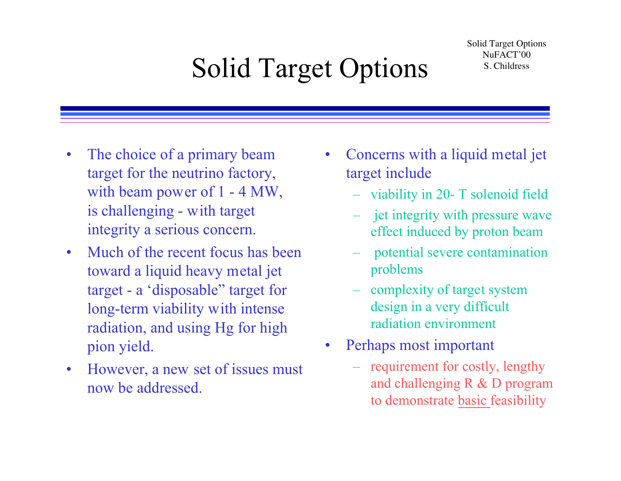# Solid Target Options S. Childress

- $\bullet$  The choice of a primary beam target for the neutrino factory, with beam power of 1 - 4 MW, is challenging - with target integrity a serious concern.
- $\bullet$  Much of the recent focus has been toward a liquid heavy metal jet target - a 'disposable" target for long-term viability with intense radiation, and using Hg for high pion yield.
- $\bullet$  However, a new set of issues must now be addressed.
- • Concerns with a liquid metal jet target include
	- viability in 20- T solenoid field
	- jet integrity with pressure wave effect induced by proton beam
	- potential severe contamination problems
	- complexity of target system design in a very difficult radiation environment
- $\bullet$  Perhaps most important
	- requirement for costly, lengthy and challenging R & D program to demonstrate basic feasibility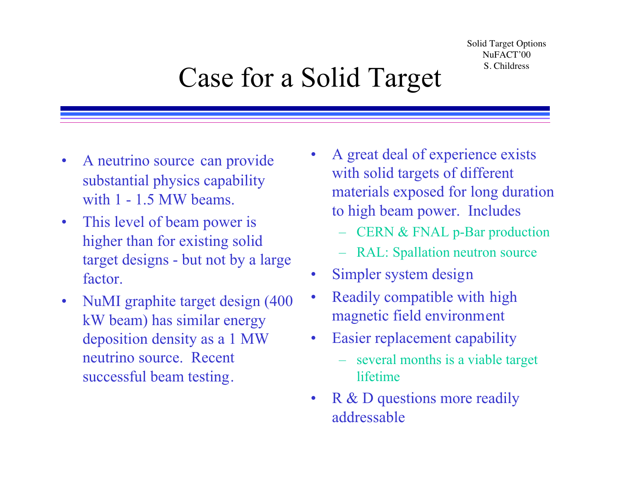## Case for a Solid Target S. Childress

- $\bullet$  A neutrino source can provide substantial physics capability with 1 - 1.5 MW beams.
- $\bullet$  This level of beam power is higher than for existing solid target designs - but not by a large factor.
- $\bullet$  NuMI graphite target design (400 kW beam) has similar energy deposition density as a 1 MW neutrino source. Recent successful beam testing.
- • A great deal of experience exists with solid targets of different materials exposed for long duration to high beam power. Includes
	- CERN & FNAL p-Bar production
	- RAL: Spallation neutron source
- •Simpler system design
- • Readily compatible with high magnetic field environment
- $\bullet$  Easier replacement capability
	- several months is a viable target lifetime
- •R & D questions more readily addressable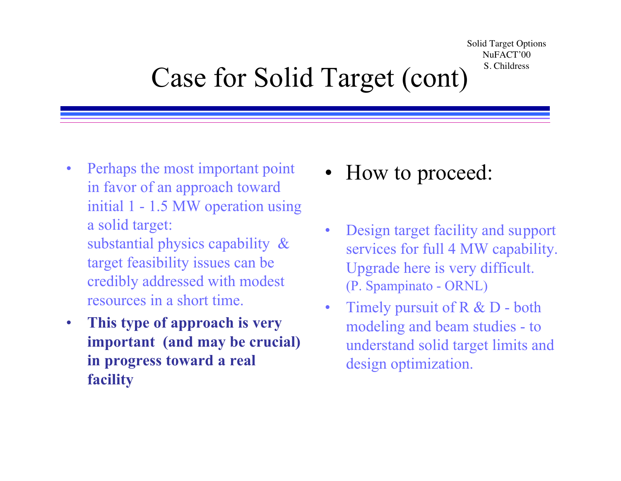## Case for Solid Target (cont) S. Childress

- $\bullet$  Perhaps the most important point in favor of an approach toward initial 1 - 1.5 MW operation using a solid target: substantial physics capability &
	- target feasibility issues can be credibly addressed with modest resources in a short time.
- $\bullet$  **This type of approach is very important (and may be crucial) in progress toward a real facility**
- •How to proceed:
- • Design target facility and support services for full 4 MW capability. Upgrade here is very difficult. (P. Spampinato - ORNL)
- $\bullet$  Timely pursuit of R & D - both modeling and beam studies - to understand solid target limits and design optimization.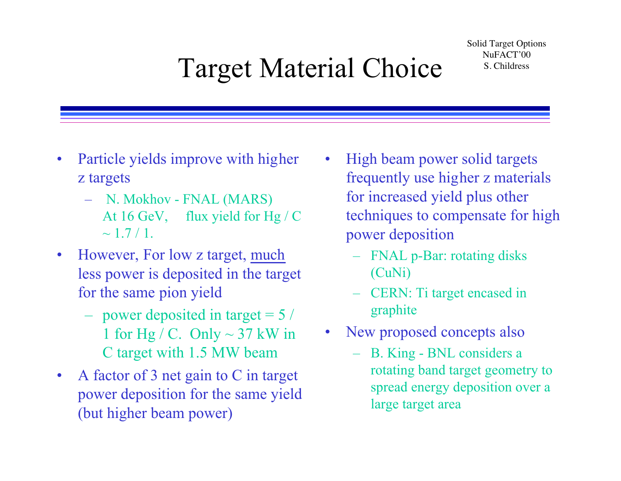# Target Material Choice S. Childress

- $\bullet$  Particle yields improve with higher z targets
	- N. Mokhov FNAL (MARS) At 16 GeV, flux yield for Hg / C  $\sim 1.7/1.$
- • However, For low z target, much less power is deposited in the target for the same pion yield
	- power deposited in target = 5 / 1 for Hg / C. Only  $\sim$  37 kW in C target with 1.5 MW beam
- • A factor of 3 net gain to C in target power deposition for the same yield (but higher beam power)
- • High beam power solid targets frequently use higher z materials for increased yield plus other techniques to compensate for high power deposition
	- FNAL p-Bar: rotating disks (CuNi)
	- CERN: Ti target encased in graphite
- • New proposed concepts also
	- B. King BNL considers a rotating band target geometry to spread energy deposition over a large target area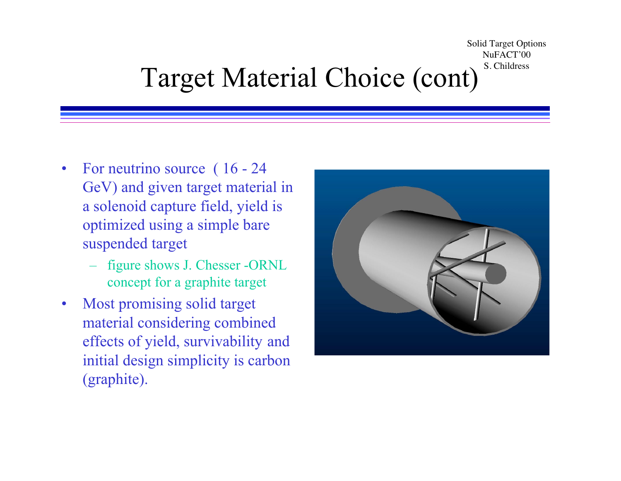Solid Target Options NuFACT'00 Target Material Choice (cont)<sup>S. Childress</sup>

- • For neutrino source ( 16 - 24 GeV) and given target material in a solenoid capture field, yield is optimized using a simple bare suspended target
	- figure shows J. Chesser -ORNL concept for a graphite target
- • Most promising solid target material considering combined effects of yield, survivability and initial design simplicity is carbon (graphite).

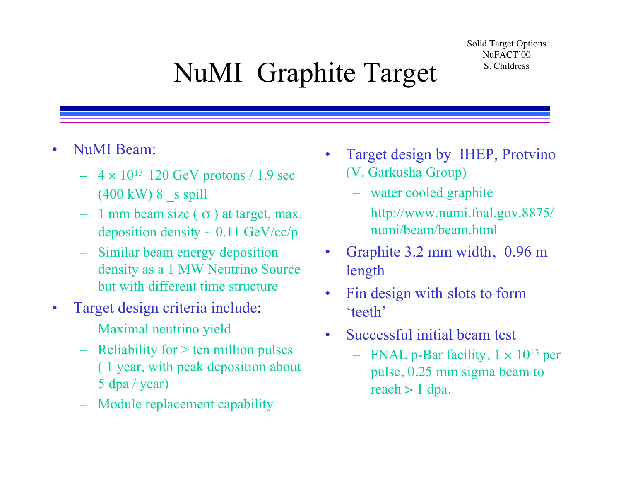# NuMI Graphite Target S. Childress

- $\bullet$  NuMI Beam:
	- $-$  4  $\times$  10<sup>13</sup> 120 GeV protons / 1.9 sec  $(400 \text{ kW})$  8 s spill
	- 1 mm beam size  $\sigma$ ) at target, max. deposition density  $\sim 0.11$  GeV/cc/p
	- Similar beam energy deposition density as a 1 MW Neutrino Source but with different time structure
- $\bullet$  Target design criteria include:
	- Maximal neutrino yield
	- $-$  Reliability for  $>$  ten million pulses ( 1 year, with peak deposition about 5 dpa / year)
	- Module replacement capability
- $\bullet$  Target design by IHEP, Protvino (V. Garkusha Group)
	- water cooled graphite
	- http://www.numi.fnal.gov.8875/ numi/beam/beam.html
- • Graphite 3.2 mm width, 0.96 m length
- $\bullet$  Fin design with slots to form 'teeth'
- • Successful initial beam test
	- FNAL p-Bar facility,  $1 \times 10^{13}$  per pulse, 0.25 mm sigma beam to reach > 1 dpa.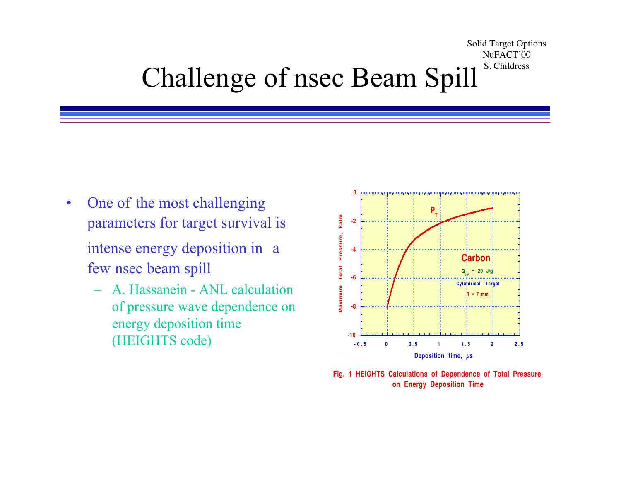#### Solid Target Options NuFACT'00 Challenge of nsec Beam Spill<sup>s. Childress</sup>

 $\bullet$  One of the most challenging parameters for target survival is

intense energy deposition in a few nsec beam spill

– A. Hassanein - ANL calculation of pressure wave dependence on energy deposition time (HEIGHTS code) **-10**



**Fig. 1 HEIGHTS Calculations of Dependence of Total Pressure on Energy Deposition Time**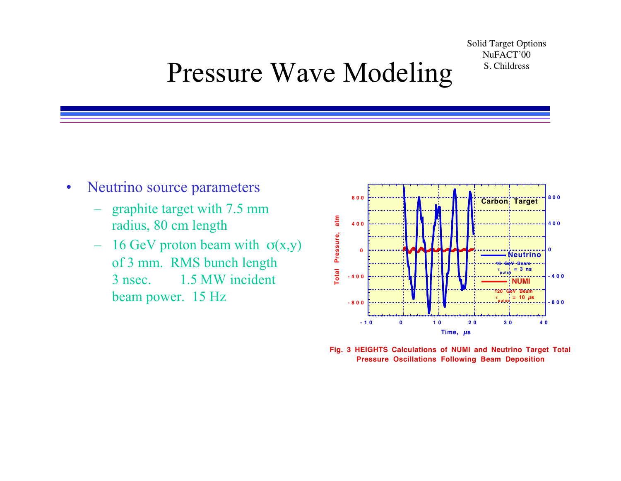#### Pressure Wave Modeling S. Childress

- $\bullet$  Neutrino source parameters
	- – graphite target with 7.5 mm radius, 80 cm length
	- –16 GeV proton beam with  $\sigma(x,y)$ of 3 mm. RMS bunch length 3 nsec. 1.5 MW incident **beam power.** 15 Hz **-800**



**Fig. 3 HEIGHTS Calculations of NUMI and Neutrino Target Total Pressure Oscillations Following Beam Deposition**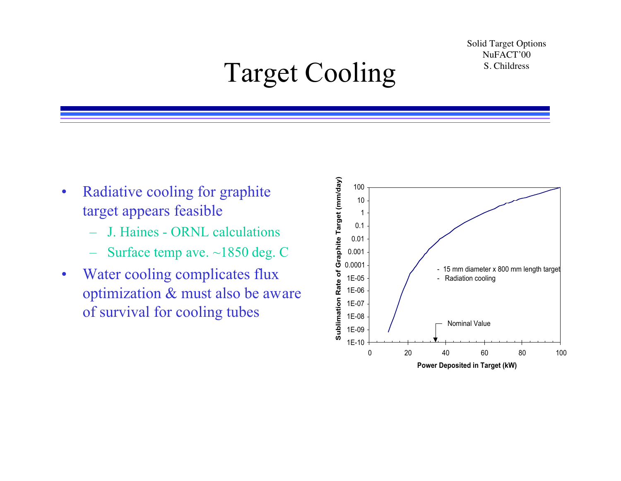#### Target Cooling S. Childress

- • Radiative cooling for graphite target appears feasible
	- J. Haines ORNL calculations
	- Surface temp ave. ~1850 deg. C
- • Water cooling complicates flux optimization & must also be aware of survival for cooling tubes